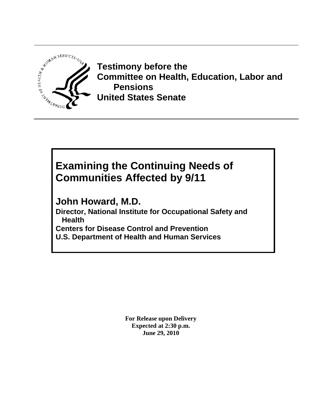

**Testimony before the Committee on Health, Education, Labor and Pensions United States Senate**

# **Examining the Continuing Needs of Communities Affected by 9/11**

**John Howard, M.D.** 

**Director, National Institute for Occupational Safety and Health Centers for Disease Control and Prevention U.S. Department of Health and Human Services**

> **For Release upon Delivery Expected at 2:30 p.m. June 29, 2010**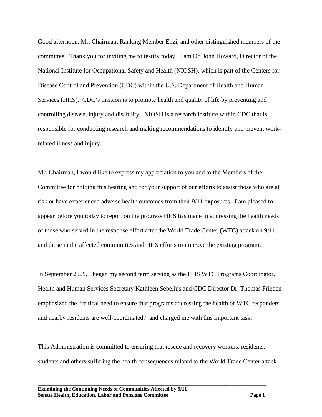Good afternoon, Mr. Chairman, Ranking Member Enzi, and other distinguished members of the committee. Thank you for inviting me to testify today. I am Dr. John Howard, Director of the National Institute for Occupational Safety and Health (NIOSH), which is part of the Centers for Disease Control and Prevention (CDC) within the U.S. Department of Health and Human Services (HHS). CDC's mission is to promote health and quality of life by preventing and controlling disease, injury and disability. NIOSH is a research institute within CDC that is responsible for conducting research and making recommendations to identify and prevent workrelated illness and injury.

Mr. Chairman, I would like to express my appreciation to you and to the Members of the Committee for holding this hearing and for your support of our efforts to assist those who are at risk or have experienced adverse health outcomes from their 9/11 exposures. I am pleased to appear before you today to report on the progress HHS has made in addressing the health needs of those who served in the response effort after the World Trade Center (WTC) attack on 9/11, and those in the affected communities and HHS efforts to improve the existing program.

In September 2009, I began my second term serving as the HHS WTC Programs Coordinator. Health and Human Services Secretary Kathleen Sebelius and CDC Director Dr. Thomas Frieden emphasized the "critical need to ensure that programs addressing the health of WTC responders and nearby residents are well-coordinated," and charged me with this important task.

This Administration is committed to ensuring that rescue and recovery workers, residents, students and others suffering the health consequences related to the World Trade Center attack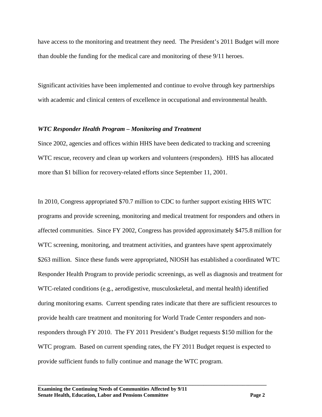have access to the monitoring and treatment they need. The President's 2011 Budget will more than double the funding for the medical care and monitoring of these 9/11 heroes.

Significant activities have been implemented and continue to evolve through key partnerships with academic and clinical centers of excellence in occupational and environmental health.

### *WTC Responder Health Program – Monitoring and Treatment*

Since 2002, agencies and offices within HHS have been dedicated to tracking and screening WTC rescue, recovery and clean up workers and volunteers (responders). HHS has allocated more than \$1 billion for recovery-related efforts since September 11, 2001.

In 2010, Congress appropriated \$70.7 million to CDC to further support existing HHS WTC programs and provide screening, monitoring and medical treatment for responders and others in affected communities. Since FY 2002, Congress has provided approximately \$475.8 million for WTC screening, monitoring, and treatment activities, and grantees have spent approximately \$263 million. Since these funds were appropriated, NIOSH has established a coordinated WTC Responder Health Program to provide periodic screenings, as well as diagnosis and treatment for WTC-related conditions (e.g., aerodigestive, musculoskeletal, and mental health) identified during monitoring exams. Current spending rates indicate that there are sufficient resources to provide health care treatment and monitoring for World Trade Center responders and nonresponders through FY 2010. The FY 2011 President's Budget requests \$150 million for the WTC program. Based on current spending rates, the FY 2011 Budget request is expected to provide sufficient funds to fully continue and manage the WTC program.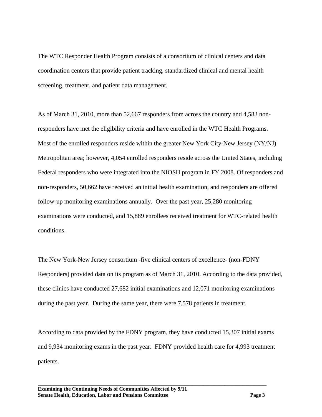The WTC Responder Health Program consists of a consortium of clinical centers and data coordination centers that provide patient tracking, standardized clinical and mental health screening, treatment, and patient data management.

As of March 31, 2010, more than 52,667 responders from across the country and 4,583 nonresponders have met the eligibility criteria and have enrolled in the WTC Health Programs. Most of the enrolled responders reside within the greater New York City-New Jersey (NY/NJ) Metropolitan area; however, 4,054 enrolled responders reside across the United States, including Federal responders who were integrated into the NIOSH program in FY 2008. Of responders and non-responders, 50,662 have received an initial health examination, and responders are offered follow-up monitoring examinations annually. Over the past year, 25,280 monitoring examinations were conducted, and 15,889 enrollees received treatment for WTC-related health conditions.

The New York-New Jersey consortium -five clinical centers of excellence- (non-FDNY Responders) provided data on its program as of March 31, 2010. According to the data provided, these clinics have conducted 27,682 initial examinations and 12,071 monitoring examinations during the past year. During the same year, there were 7,578 patients in treatment.

According to data provided by the FDNY program, they have conducted 15,307 initial exams and 9,934 monitoring exams in the past year. FDNY provided health care for 4,993 treatment patients.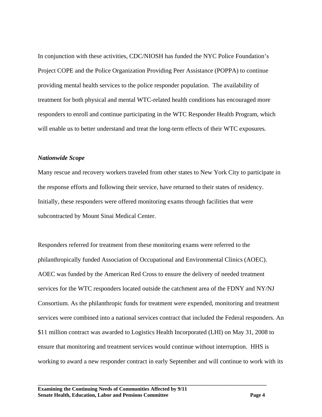In conjunction with these activities, CDC/NIOSH has funded the NYC Police Foundation's Project COPE and the Police Organization Providing Peer Assistance (POPPA) to continue providing mental health services to the police responder population. The availability of treatment for both physical and mental WTC-related health conditions has encouraged more responders to enroll and continue participating in the WTC Responder Health Program, which will enable us to better understand and treat the long-term effects of their WTC exposures.

### *Nationwide Scope*

Many rescue and recovery workers traveled from other states to New York City to participate in the response efforts and following their service, have returned to their states of residency. Initially, these responders were offered monitoring exams through facilities that were subcontracted by Mount Sinai Medical Center.

Responders referred for treatment from these monitoring exams were referred to the philanthropically funded Association of Occupational and Environmental Clinics (AOEC). AOEC was funded by the American Red Cross to ensure the delivery of needed treatment services for the WTC responders located outside the catchment area of the FDNY and NY/NJ Consortium. As the philanthropic funds for treatment were expended, monitoring and treatment services were combined into a national services contract that included the Federal responders. An \$11 million contract was awarded to Logistics Health Incorporated (LHI) on May 31, 2008 to ensure that monitoring and treatment services would continue without interruption. HHS is working to award a new responder contract in early September and will continue to work with its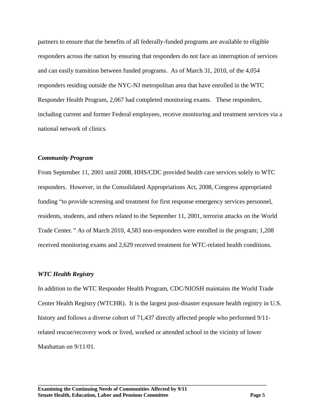partners to ensure that the benefits of all federally-funded programs are available to eligible responders across the nation by ensuring that responders do not face an interruption of services and can easily transition between funded programs. As of March 31, 2010, of the 4,054 responders residing outside the NYC-NJ metropolitan area that have enrolled in the WTC Responder Health Program, 2,067 had completed monitoring exams. These responders, including current and former Federal employees, receive monitoring and treatment services via a national network of clinics.

### *Community Program*

From September 11, 2001 until 2008, HHS/CDC provided health care services solely to WTC responders. However, in the Consolidated Appropriations Act, 2008, Congress appropriated funding "to provide screening and treatment for first response emergency services personnel, residents, students, and others related to the September 11, 2001, terrorist attacks on the World Trade Center*."* As of March 2010, 4,583 non-responders were enrolled in the program; 1,208 received monitoring exams and 2,629 received treatment for WTC-related health conditions.

## *WTC Health Registry*

In addition to the WTC Responder Health Program, CDC/NIOSH maintains the World Trade Center Health Registry (WTCHR). It is the largest post-disaster exposure health registry in U.S. history and follows a diverse cohort of 71,437 directly affected people who performed 9/11 related rescue/recovery work or lived, worked or attended school in the vicinity of lower Manhattan on 9/11/01.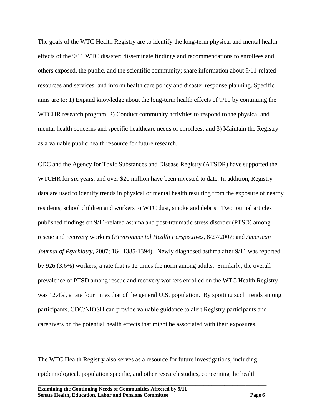The goals of the WTC Health Registry are to identify the long-term physical and mental health effects of the 9/11 WTC disaster; disseminate findings and recommendations to enrollees and others exposed, the public, and the scientific community; share information about 9/11-related resources and services; and inform health care policy and disaster response planning. Specific aims are to: 1) Expand knowledge about the long-term health effects of 9/11 by continuing the WTCHR research program; 2) Conduct community activities to respond to the physical and mental health concerns and specific healthcare needs of enrollees; and 3) Maintain the Registry as a valuable public health resource for future research.

CDC and the Agency for Toxic Substances and Disease Registry (ATSDR) have supported the WTCHR for six years, and over \$20 million have been invested to date. In addition, Registry data are used to identify trends in physical or mental health resulting from the exposure of nearby residents, school children and workers to WTC dust, smoke and debris. Two journal articles published findings on 9/11-related asthma and post-traumatic stress disorder (PTSD) among rescue and recovery workers (*Environmental Health Perspectives*, 8/27/2007; and *American Journal of Psychiatry*, 2007; 164:1385-1394). Newly diagnosed asthma after 9/11 was reported by 926 (3.6%) workers, a rate that is 12 times the norm among adults. Similarly, the overall prevalence of PTSD among rescue and recovery workers enrolled on the WTC Health Registry was 12.4%, a rate four times that of the general U.S. population. By spotting such trends among participants, CDC/NIOSH can provide valuable guidance to alert Registry participants and caregivers on the potential health effects that might be associated with their exposures.

The WTC Health Registry also serves as a resource for future investigations, including epidemiological, population specific, and other research studies, concerning the health